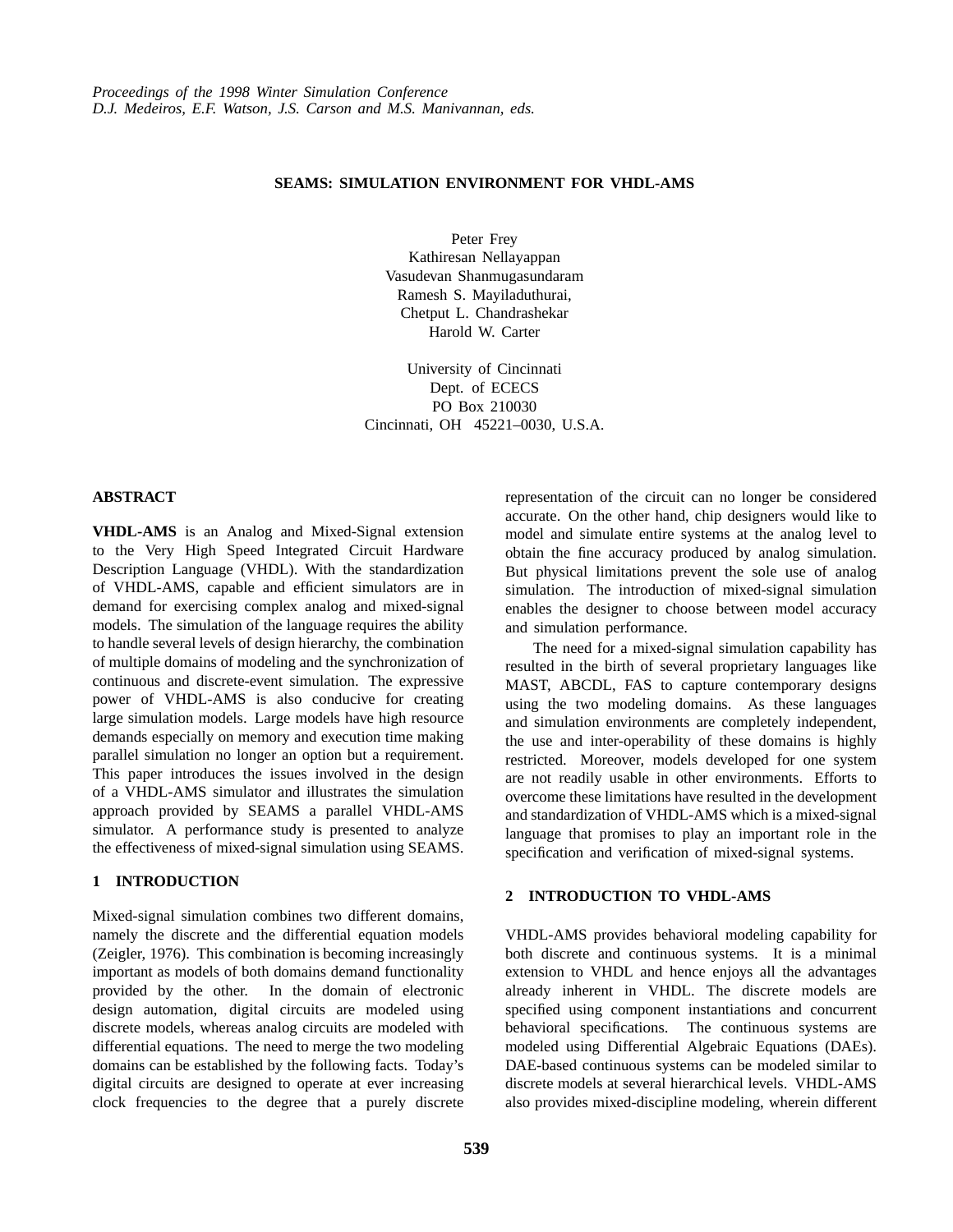# **SEAMS: SIMULATION ENVIRONMENT FOR VHDL-AMS**

Peter Frey Kathiresan Nellayappan Vasudevan Shanmugasundaram Ramesh S. Mayiladuthurai, Chetput L. Chandrashekar Harold W. Carter

University of Cincinnati Dept. of ECECS PO Box 210030 Cincinnati, OH 45221–0030, U.S.A.

### **ABSTRACT**

**VHDL-AMS** is an Analog and Mixed-Signal extension to the Very High Speed Integrated Circuit Hardware Description Language (VHDL). With the standardization of VHDL-AMS, capable and efficient simulators are in demand for exercising complex analog and mixed-signal models. The simulation of the language requires the ability to handle several levels of design hierarchy, the combination of multiple domains of modeling and the synchronization of continuous and discrete-event simulation. The expressive power of VHDL-AMS is also conducive for creating large simulation models. Large models have high resource demands especially on memory and execution time making parallel simulation no longer an option but a requirement. This paper introduces the issues involved in the design of a VHDL-AMS simulator and illustrates the simulation approach provided by SEAMS a parallel VHDL-AMS simulator. A performance study is presented to analyze the effectiveness of mixed-signal simulation using SEAMS.

# **1 INTRODUCTION**

Mixed-signal simulation combines two different domains, namely the discrete and the differential equation models (Zeigler, 1976). This combination is becoming increasingly important as models of both domains demand functionality provided by the other. In the domain of electronic design automation, digital circuits are modeled using discrete models, whereas analog circuits are modeled with differential equations. The need to merge the two modeling domains can be established by the following facts. Today's digital circuits are designed to operate at ever increasing clock frequencies to the degree that a purely discrete

representation of the circuit can no longer be considered accurate. On the other hand, chip designers would like to model and simulate entire systems at the analog level to obtain the fine accuracy produced by analog simulation. But physical limitations prevent the sole use of analog simulation. The introduction of mixed-signal simulation enables the designer to choose between model accuracy and simulation performance.

The need for a mixed-signal simulation capability has resulted in the birth of several proprietary languages like MAST, ABCDL, FAS to capture contemporary designs using the two modeling domains. As these languages and simulation environments are completely independent, the use and inter-operability of these domains is highly restricted. Moreover, models developed for one system are not readily usable in other environments. Efforts to overcome these limitations have resulted in the development and standardization of VHDL-AMS which is a mixed-signal language that promises to play an important role in the specification and verification of mixed-signal systems.

# **2 INTRODUCTION TO VHDL-AMS**

VHDL-AMS provides behavioral modeling capability for both discrete and continuous systems. It is a minimal extension to VHDL and hence enjoys all the advantages already inherent in VHDL. The discrete models are specified using component instantiations and concurrent behavioral specifications. The continuous systems are modeled using Differential Algebraic Equations (DAEs). DAE-based continuous systems can be modeled similar to discrete models at several hierarchical levels. VHDL-AMS also provides mixed-discipline modeling, wherein different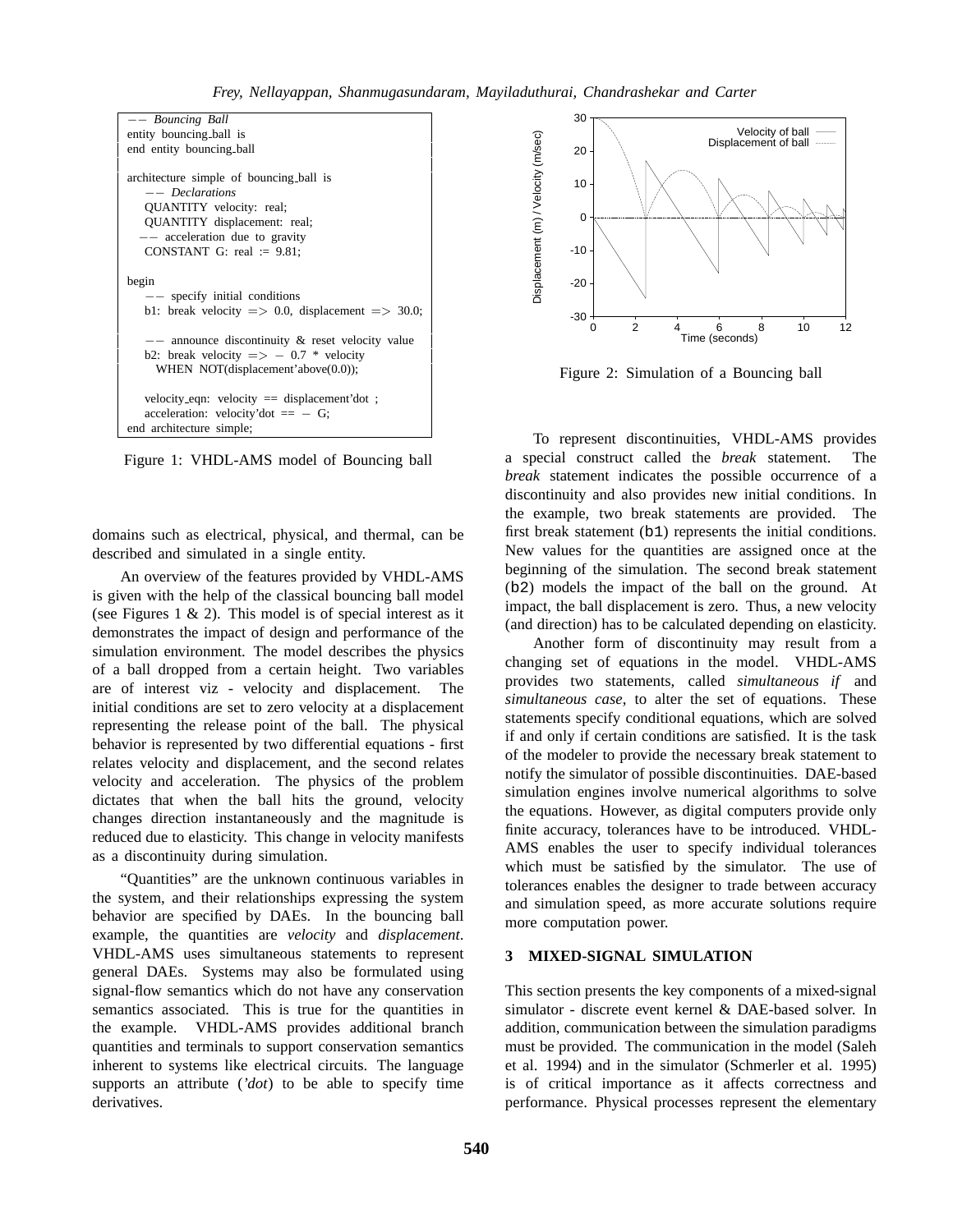```
−− Bouncing Ball
entity bouncing ball is
end entity bouncing ball
architecture simple of bouncing ball is
   −− Declarations
   QUANTITY velocity: real;
   QUANTITY displacement: real;
  −− acceleration due to gravity
   CONSTANT G: real := 9.81;
begin
     −− specify initial conditions
   b1: break velocity \Rightarrow 0.0, displacement \Rightarrow 30.0;
       announce discontinuity & reset velocity value
   b2: break velocity => -0.7 * velocity
     WHEN NOT(displacement'above(0.0));
   velocity eqn: velocity == displacement'dot ;
   acceleration: velocity'dot == - G;
end architecture simple;
```
Figure 1: VHDL-AMS model of Bouncing ball

domains such as electrical, physical, and thermal, can be described and simulated in a single entity.

An overview of the features provided by VHDL-AMS is given with the help of the classical bouncing ball model (see Figures 1  $\&$  2). This model is of special interest as it demonstrates the impact of design and performance of the simulation environment. The model describes the physics of a ball dropped from a certain height. Two variables are of interest viz - velocity and displacement. The initial conditions are set to zero velocity at a displacement representing the release point of the ball. The physical behavior is represented by two differential equations - first relates velocity and displacement, and the second relates velocity and acceleration. The physics of the problem dictates that when the ball hits the ground, velocity changes direction instantaneously and the magnitude is reduced due to elasticity. This change in velocity manifests as a discontinuity during simulation.

"Quantities" are the unknown continuous variables in the system, and their relationships expressing the system behavior are specified by DAEs. In the bouncing ball example, the quantities are *velocity* and *displacement*. VHDL-AMS uses simultaneous statements to represent general DAEs. Systems may also be formulated using signal-flow semantics which do not have any conservation semantics associated. This is true for the quantities in the example. VHDL-AMS provides additional branch quantities and terminals to support conservation semantics inherent to systems like electrical circuits. The language supports an attribute (*'dot*) to be able to specify time derivatives.



Figure 2: Simulation of a Bouncing ball

To represent discontinuities, VHDL-AMS provides a special construct called the *break* statement. The *break* statement indicates the possible occurrence of a discontinuity and also provides new initial conditions. In the example, two break statements are provided. The first break statement (b1) represents the initial conditions. New values for the quantities are assigned once at the beginning of the simulation. The second break statement (b2) models the impact of the ball on the ground. At impact, the ball displacement is zero. Thus, a new velocity (and direction) has to be calculated depending on elasticity.

Another form of discontinuity may result from a changing set of equations in the model. VHDL-AMS provides two statements, called *simultaneous if* and *simultaneous case*, to alter the set of equations. These statements specify conditional equations, which are solved if and only if certain conditions are satisfied. It is the task of the modeler to provide the necessary break statement to notify the simulator of possible discontinuities. DAE-based simulation engines involve numerical algorithms to solve the equations. However, as digital computers provide only finite accuracy, tolerances have to be introduced. VHDL-AMS enables the user to specify individual tolerances which must be satisfied by the simulator. The use of tolerances enables the designer to trade between accuracy and simulation speed, as more accurate solutions require more computation power.

#### **3 MIXED-SIGNAL SIMULATION**

This section presents the key components of a mixed-signal simulator - discrete event kernel & DAE-based solver. In addition, communication between the simulation paradigms must be provided. The communication in the model (Saleh et al. 1994) and in the simulator (Schmerler et al. 1995) is of critical importance as it affects correctness and performance. Physical processes represent the elementary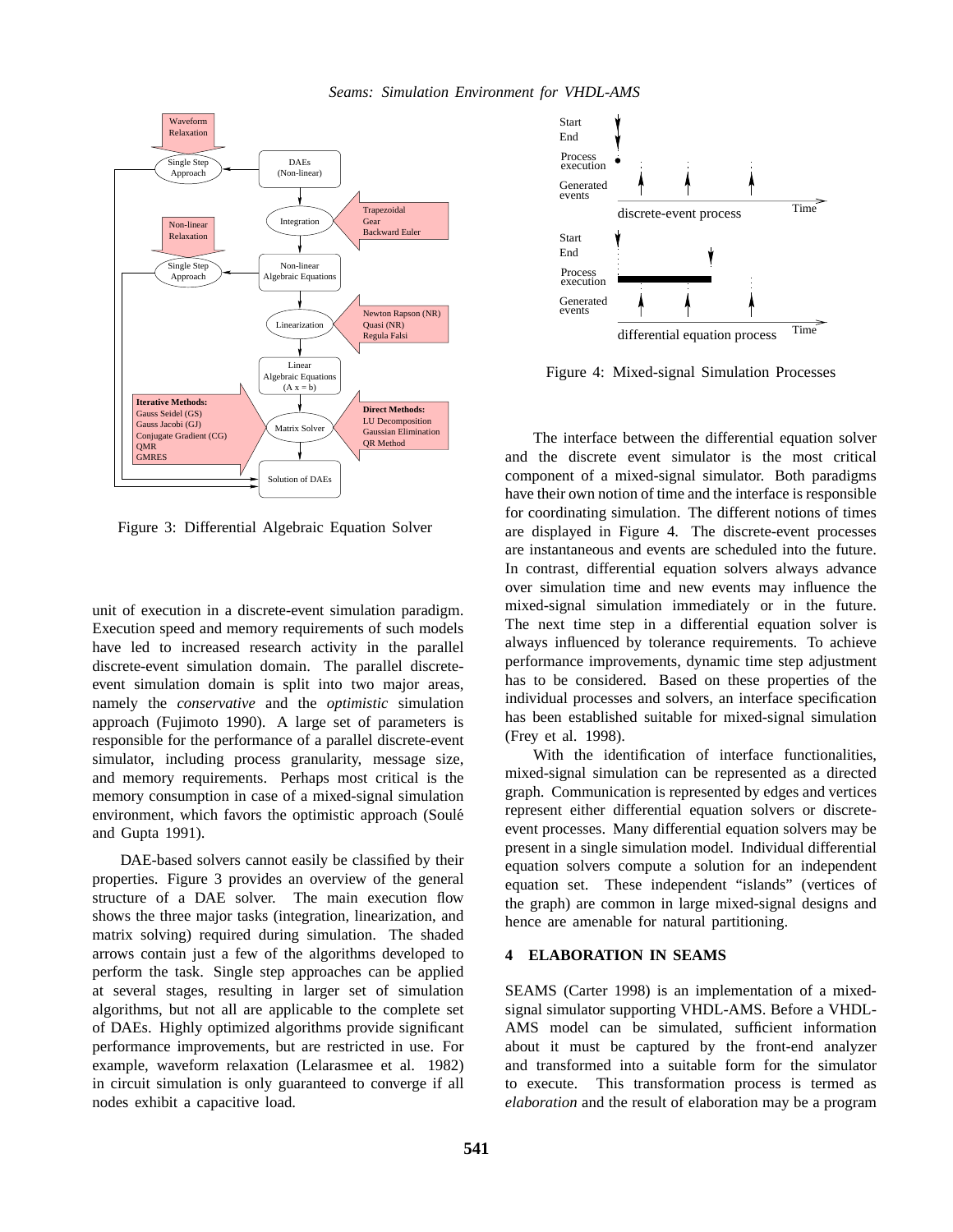

Figure 3: Differential Algebraic Equation Solver

unit of execution in a discrete-event simulation paradigm. Execution speed and memory requirements of such models have led to increased research activity in the parallel discrete-event simulation domain. The parallel discreteevent simulation domain is split into two major areas, namely the *conservative* and the *optimistic* simulation approach (Fujimoto 1990). A large set of parameters is responsible for the performance of a parallel discrete-event simulator, including process granularity, message size, and memory requirements. Perhaps most critical is the memory consumption in case of a mixed-signal simulation environment, which favors the optimistic approach (Soulé and Gupta 1991).

DAE-based solvers cannot easily be classified by their properties. Figure 3 provides an overview of the general structure of a DAE solver. The main execution flow shows the three major tasks (integration, linearization, and matrix solving) required during simulation. The shaded arrows contain just a few of the algorithms developed to perform the task. Single step approaches can be applied at several stages, resulting in larger set of simulation algorithms, but not all are applicable to the complete set of DAEs. Highly optimized algorithms provide significant performance improvements, but are restricted in use. For example, waveform relaxation (Lelarasmee et al. 1982) in circuit simulation is only guaranteed to converge if all nodes exhibit a capacitive load.



Figure 4: Mixed-signal Simulation Processes

The interface between the differential equation solver and the discrete event simulator is the most critical component of a mixed-signal simulator. Both paradigms have their own notion of time and the interface is responsible for coordinating simulation. The different notions of times are displayed in Figure 4. The discrete-event processes are instantaneous and events are scheduled into the future. In contrast, differential equation solvers always advance over simulation time and new events may influence the mixed-signal simulation immediately or in the future. The next time step in a differential equation solver is always influenced by tolerance requirements. To achieve performance improvements, dynamic time step adjustment has to be considered. Based on these properties of the individual processes and solvers, an interface specification has been established suitable for mixed-signal simulation (Frey et al. 1998).

With the identification of interface functionalities, mixed-signal simulation can be represented as a directed graph. Communication is represented by edges and vertices represent either differential equation solvers or discreteevent processes. Many differential equation solvers may be present in a single simulation model. Individual differential equation solvers compute a solution for an independent equation set. These independent "islands" (vertices of the graph) are common in large mixed-signal designs and hence are amenable for natural partitioning.

# **4 ELABORATION IN SEAMS**

SEAMS (Carter 1998) is an implementation of a mixedsignal simulator supporting VHDL-AMS. Before a VHDL-AMS model can be simulated, sufficient information about it must be captured by the front-end analyzer and transformed into a suitable form for the simulator to execute. This transformation process is termed as *elaboration* and the result of elaboration may be a program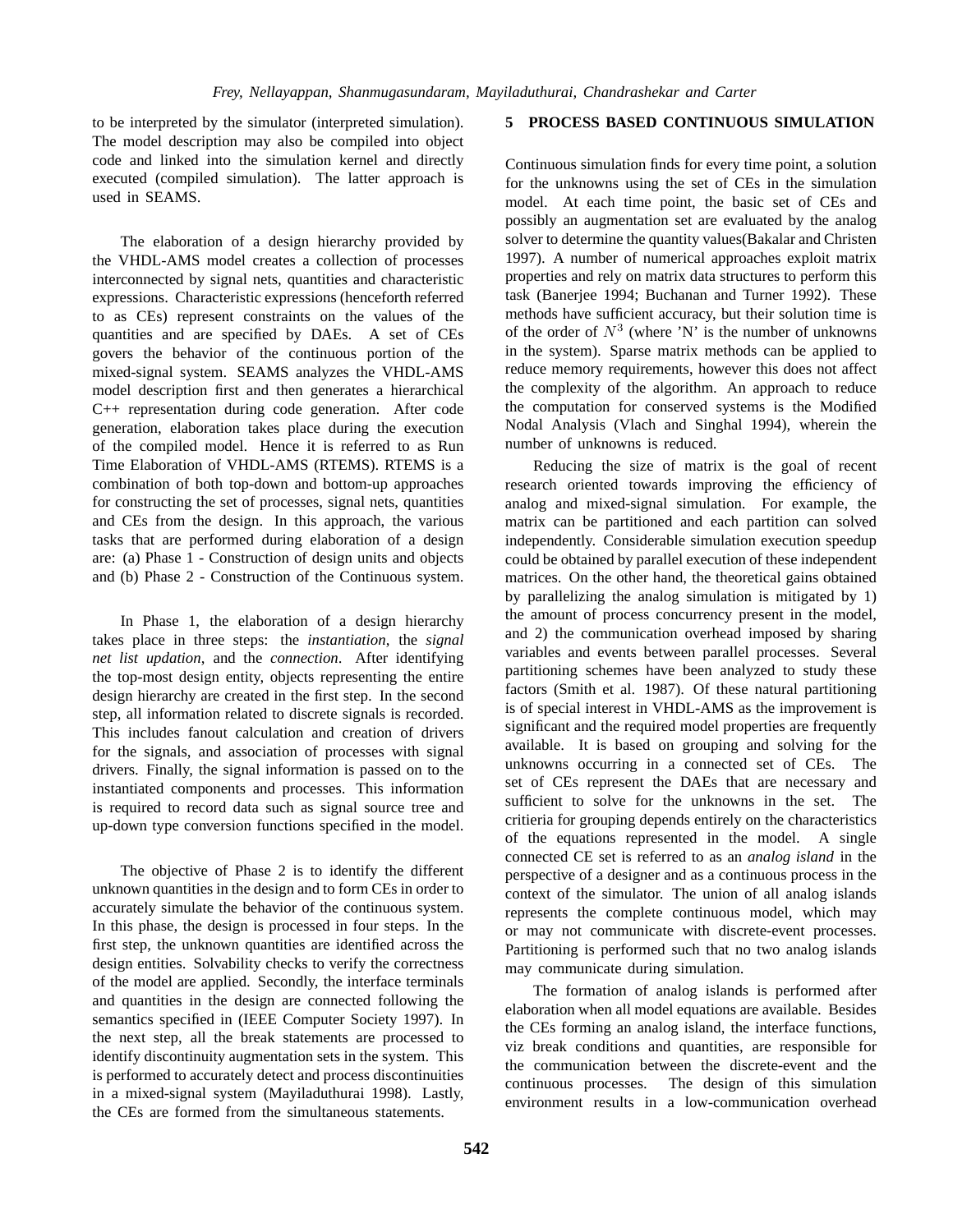to be interpreted by the simulator (interpreted simulation). The model description may also be compiled into object code and linked into the simulation kernel and directly executed (compiled simulation). The latter approach is used in SEAMS.

The elaboration of a design hierarchy provided by the VHDL-AMS model creates a collection of processes interconnected by signal nets, quantities and characteristic expressions. Characteristic expressions (henceforth referred to as CEs) represent constraints on the values of the quantities and are specified by DAEs. A set of CEs govers the behavior of the continuous portion of the mixed-signal system. SEAMS analyzes the VHDL-AMS model description first and then generates a hierarchical C++ representation during code generation. After code generation, elaboration takes place during the execution of the compiled model. Hence it is referred to as Run Time Elaboration of VHDL-AMS (RTEMS). RTEMS is a combination of both top-down and bottom-up approaches for constructing the set of processes, signal nets, quantities and CEs from the design. In this approach, the various tasks that are performed during elaboration of a design are: (a) Phase 1 - Construction of design units and objects and (b) Phase 2 - Construction of the Continuous system.

In Phase 1, the elaboration of a design hierarchy takes place in three steps: the *instantiation*, the *signal net list updation*, and the *connection*. After identifying the top-most design entity, objects representing the entire design hierarchy are created in the first step. In the second step, all information related to discrete signals is recorded. This includes fanout calculation and creation of drivers for the signals, and association of processes with signal drivers. Finally, the signal information is passed on to the instantiated components and processes. This information is required to record data such as signal source tree and up-down type conversion functions specified in the model.

The objective of Phase 2 is to identify the different unknown quantities in the design and to form CEs in order to accurately simulate the behavior of the continuous system. In this phase, the design is processed in four steps. In the first step, the unknown quantities are identified across the design entities. Solvability checks to verify the correctness of the model are applied. Secondly, the interface terminals and quantities in the design are connected following the semantics specified in (IEEE Computer Society 1997). In the next step, all the break statements are processed to identify discontinuity augmentation sets in the system. This is performed to accurately detect and process discontinuities in a mixed-signal system (Mayiladuthurai 1998). Lastly, the CEs are formed from the simultaneous statements.

# **5 PROCESS BASED CONTINUOUS SIMULATION**

Continuous simulation finds for every time point, a solution for the unknowns using the set of CEs in the simulation model. At each time point, the basic set of CEs and possibly an augmentation set are evaluated by the analog solver to determine the quantity values(Bakalar and Christen 1997). A number of numerical approaches exploit matrix properties and rely on matrix data structures to perform this task (Banerjee 1994; Buchanan and Turner 1992). These methods have sufficient accuracy, but their solution time is of the order of  $N^3$  (where 'N' is the number of unknowns in the system). Sparse matrix methods can be applied to reduce memory requirements, however this does not affect the complexity of the algorithm. An approach to reduce the computation for conserved systems is the Modified Nodal Analysis (Vlach and Singhal 1994), wherein the number of unknowns is reduced.

Reducing the size of matrix is the goal of recent research oriented towards improving the efficiency of analog and mixed-signal simulation. For example, the matrix can be partitioned and each partition can solved independently. Considerable simulation execution speedup could be obtained by parallel execution of these independent matrices. On the other hand, the theoretical gains obtained by parallelizing the analog simulation is mitigated by 1) the amount of process concurrency present in the model, and 2) the communication overhead imposed by sharing variables and events between parallel processes. Several partitioning schemes have been analyzed to study these factors (Smith et al. 1987). Of these natural partitioning is of special interest in VHDL-AMS as the improvement is significant and the required model properties are frequently available. It is based on grouping and solving for the unknowns occurring in a connected set of CEs. The set of CEs represent the DAEs that are necessary and sufficient to solve for the unknowns in the set. The critieria for grouping depends entirely on the characteristics of the equations represented in the model. A single connected CE set is referred to as an *analog island* in the perspective of a designer and as a continuous process in the context of the simulator. The union of all analog islands represents the complete continuous model, which may or may not communicate with discrete-event processes. Partitioning is performed such that no two analog islands may communicate during simulation.

The formation of analog islands is performed after elaboration when all model equations are available. Besides the CEs forming an analog island, the interface functions, viz break conditions and quantities, are responsible for the communication between the discrete-event and the continuous processes. The design of this simulation environment results in a low-communication overhead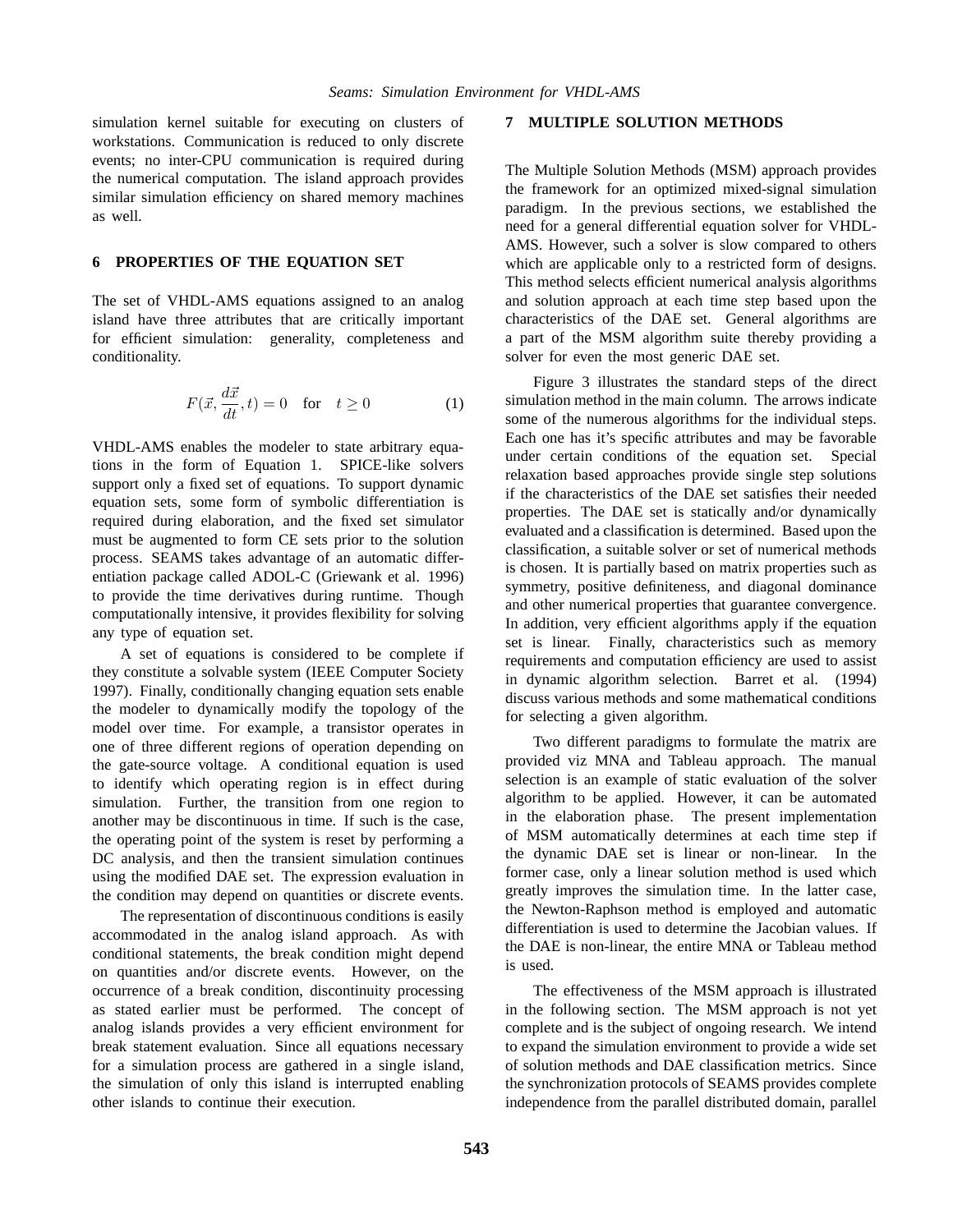simulation kernel suitable for executing on clusters of workstations. Communication is reduced to only discrete events; no inter-CPU communication is required during the numerical computation. The island approach provides similar simulation efficiency on shared memory machines as well.

# **6 PROPERTIES OF THE EQUATION SET**

The set of VHDL-AMS equations assigned to an analog island have three attributes that are critically important for efficient simulation: generality, completeness and conditionality.

$$
F(\vec{x}, \frac{d\vec{x}}{dt}, t) = 0 \quad \text{for} \quad t \ge 0 \tag{1}
$$

VHDL-AMS enables the modeler to state arbitrary equations in the form of Equation 1. SPICE-like solvers support only a fixed set of equations. To support dynamic equation sets, some form of symbolic differentiation is required during elaboration, and the fixed set simulator must be augmented to form CE sets prior to the solution process. SEAMS takes advantage of an automatic differentiation package called ADOL-C (Griewank et al. 1996) to provide the time derivatives during runtime. Though computationally intensive, it provides flexibility for solving any type of equation set.

A set of equations is considered to be complete if they constitute a solvable system (IEEE Computer Society 1997). Finally, conditionally changing equation sets enable the modeler to dynamically modify the topology of the model over time. For example, a transistor operates in one of three different regions of operation depending on the gate-source voltage. A conditional equation is used to identify which operating region is in effect during simulation. Further, the transition from one region to another may be discontinuous in time. If such is the case, the operating point of the system is reset by performing a DC analysis, and then the transient simulation continues using the modified DAE set. The expression evaluation in the condition may depend on quantities or discrete events.

The representation of discontinuous conditions is easily accommodated in the analog island approach. As with conditional statements, the break condition might depend on quantities and/or discrete events. However, on the occurrence of a break condition, discontinuity processing as stated earlier must be performed. The concept of analog islands provides a very efficient environment for break statement evaluation. Since all equations necessary for a simulation process are gathered in a single island, the simulation of only this island is interrupted enabling other islands to continue their execution.

# **7 MULTIPLE SOLUTION METHODS**

The Multiple Solution Methods (MSM) approach provides the framework for an optimized mixed-signal simulation paradigm. In the previous sections, we established the need for a general differential equation solver for VHDL-AMS. However, such a solver is slow compared to others which are applicable only to a restricted form of designs. This method selects efficient numerical analysis algorithms and solution approach at each time step based upon the characteristics of the DAE set. General algorithms are a part of the MSM algorithm suite thereby providing a solver for even the most generic DAE set.

Figure 3 illustrates the standard steps of the direct simulation method in the main column. The arrows indicate some of the numerous algorithms for the individual steps. Each one has it's specific attributes and may be favorable under certain conditions of the equation set. Special relaxation based approaches provide single step solutions if the characteristics of the DAE set satisfies their needed properties. The DAE set is statically and/or dynamically evaluated and a classification is determined. Based upon the classification, a suitable solver or set of numerical methods is chosen. It is partially based on matrix properties such as symmetry, positive definiteness, and diagonal dominance and other numerical properties that guarantee convergence. In addition, very efficient algorithms apply if the equation set is linear. Finally, characteristics such as memory requirements and computation efficiency are used to assist in dynamic algorithm selection. Barret et al. (1994) discuss various methods and some mathematical conditions for selecting a given algorithm.

Two different paradigms to formulate the matrix are provided viz MNA and Tableau approach. The manual selection is an example of static evaluation of the solver algorithm to be applied. However, it can be automated in the elaboration phase. The present implementation of MSM automatically determines at each time step if the dynamic DAE set is linear or non-linear. In the former case, only a linear solution method is used which greatly improves the simulation time. In the latter case, the Newton-Raphson method is employed and automatic differentiation is used to determine the Jacobian values. If the DAE is non-linear, the entire MNA or Tableau method is used.

The effectiveness of the MSM approach is illustrated in the following section. The MSM approach is not yet complete and is the subject of ongoing research. We intend to expand the simulation environment to provide a wide set of solution methods and DAE classification metrics. Since the synchronization protocols of SEAMS provides complete independence from the parallel distributed domain, parallel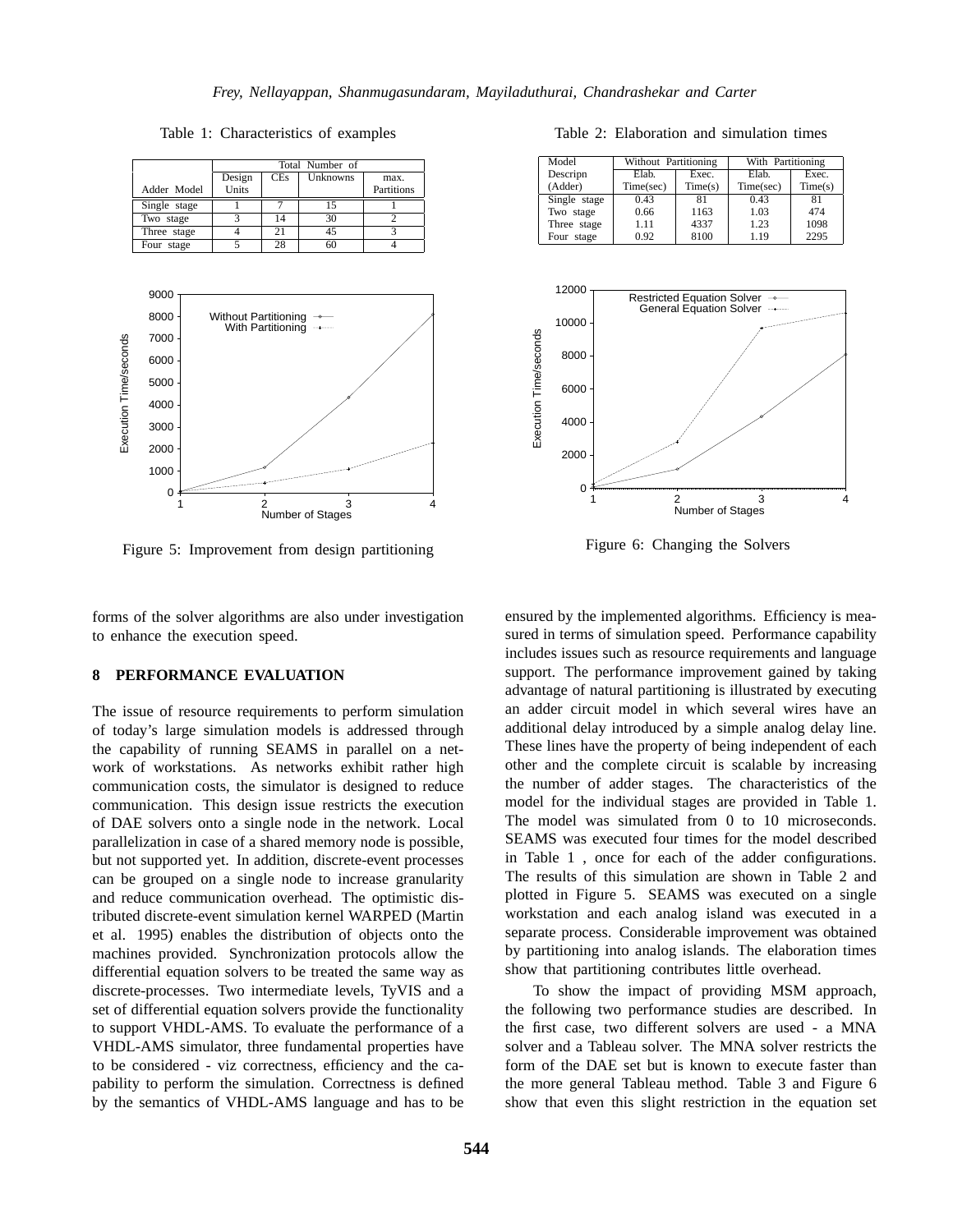|              | Total Number of |     |          |            |
|--------------|-----------------|-----|----------|------------|
|              | Design          | CEs | Unknowns | max.       |
| Adder Model  | Units           |     |          | Partitions |
| Single stage |                 |     | 15       |            |
| Two stage    |                 | 14  | 30       |            |
| Three stage  |                 | 21  | 45       |            |
| Four stage   |                 | 28  | 60       |            |

Table 1: Characteristics of examples



Figure 5: Improvement from design partitioning

forms of the solver algorithms are also under investigation to enhance the execution speed.

### **8 PERFORMANCE EVALUATION**

The issue of resource requirements to perform simulation of today's large simulation models is addressed through the capability of running SEAMS in parallel on a network of workstations. As networks exhibit rather high communication costs, the simulator is designed to reduce communication. This design issue restricts the execution of DAE solvers onto a single node in the network. Local parallelization in case of a shared memory node is possible, but not supported yet. In addition, discrete-event processes can be grouped on a single node to increase granularity and reduce communication overhead. The optimistic distributed discrete-event simulation kernel WARPED (Martin et al. 1995) enables the distribution of objects onto the machines provided. Synchronization protocols allow the differential equation solvers to be treated the same way as discrete-processes. Two intermediate levels, TyVIS and a set of differential equation solvers provide the functionality to support VHDL-AMS. To evaluate the performance of a VHDL-AMS simulator, three fundamental properties have to be considered - viz correctness, efficiency and the capability to perform the simulation. Correctness is defined by the semantics of VHDL-AMS language and has to be

| Table 2: Elaboration and simulation times |
|-------------------------------------------|
|                                           |

| Model        | Without Partitioning |         | With Partitioning |         |
|--------------|----------------------|---------|-------------------|---------|
| Descripn     | Elab.                | Exec.   | Elab.             | Exec.   |
| (Adder)      | Time(sec)            | Time(s) | Time(sec)         | Time(s) |
| Single stage | 0.43                 | 81      | 0.43              | 81      |
| Two stage    | 0.66                 | 1163    | 1.03              | 474     |
| Three stage  | 1.11                 | 4337    | 1.23              | 1098    |
| Four stage   | 0.92                 | 8100    | 1.19              | 2295    |



Figure 6: Changing the Solvers

ensured by the implemented algorithms. Efficiency is measured in terms of simulation speed. Performance capability includes issues such as resource requirements and language support. The performance improvement gained by taking advantage of natural partitioning is illustrated by executing an adder circuit model in which several wires have an additional delay introduced by a simple analog delay line. These lines have the property of being independent of each other and the complete circuit is scalable by increasing the number of adder stages. The characteristics of the model for the individual stages are provided in Table 1. The model was simulated from 0 to 10 microseconds. SEAMS was executed four times for the model described in Table 1 , once for each of the adder configurations. The results of this simulation are shown in Table 2 and plotted in Figure 5. SEAMS was executed on a single workstation and each analog island was executed in a separate process. Considerable improvement was obtained by partitioning into analog islands. The elaboration times show that partitioning contributes little overhead.

To show the impact of providing MSM approach, the following two performance studies are described. In the first case, two different solvers are used - a MNA solver and a Tableau solver. The MNA solver restricts the form of the DAE set but is known to execute faster than the more general Tableau method. Table 3 and Figure 6 show that even this slight restriction in the equation set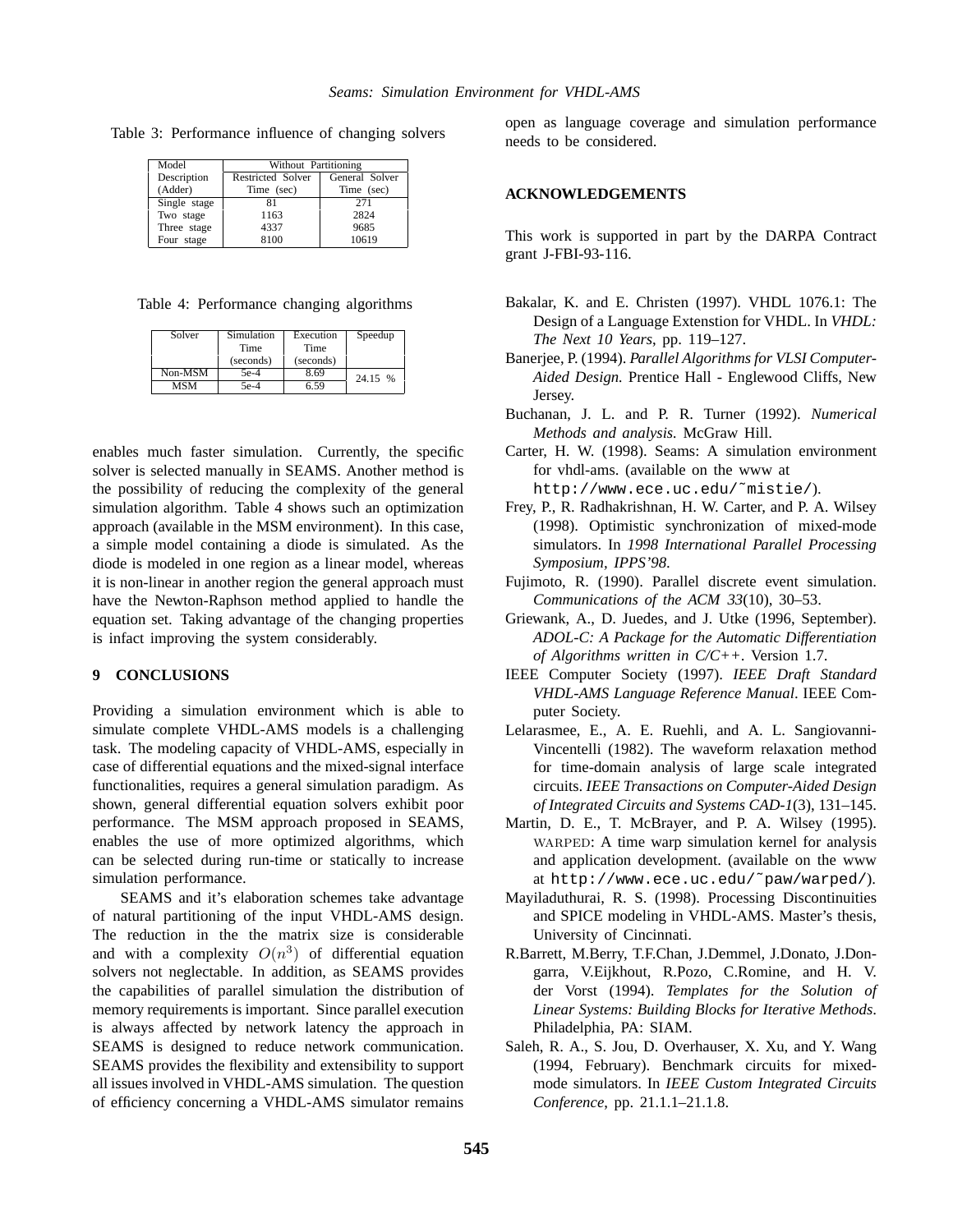Table 3: Performance influence of changing solvers

| Model        | Without Partitioning |                |  |  |
|--------------|----------------------|----------------|--|--|
| Description  | Restricted Solver    | General Solver |  |  |
| (Adder)      | Time (sec)           | Time (sec)     |  |  |
| Single stage | 81                   | 271            |  |  |
| Two stage    | 1163                 | 2824           |  |  |
| Three stage  | 4337                 | 9685           |  |  |
| Four stage   | 8100                 | 10619          |  |  |

Table 4: Performance changing algorithms

| Solver     | Simulation<br>Time | Execution<br>Time |         |
|------------|--------------------|-------------------|---------|
|            | (seconds)          | (seconds)         |         |
| Non-MSM    | $5e-4$             | 8.69              | 24.15 % |
| <b>MSM</b> | 5e-4               | 6.59              |         |

enables much faster simulation. Currently, the specific solver is selected manually in SEAMS. Another method is the possibility of reducing the complexity of the general simulation algorithm. Table 4 shows such an optimization approach (available in the MSM environment). In this case, a simple model containing a diode is simulated. As the diode is modeled in one region as a linear model, whereas it is non-linear in another region the general approach must have the Newton-Raphson method applied to handle the equation set. Taking advantage of the changing properties is infact improving the system considerably.

### **9 CONCLUSIONS**

Providing a simulation environment which is able to simulate complete VHDL-AMS models is a challenging task. The modeling capacity of VHDL-AMS, especially in case of differential equations and the mixed-signal interface functionalities, requires a general simulation paradigm. As shown, general differential equation solvers exhibit poor performance. The MSM approach proposed in SEAMS, enables the use of more optimized algorithms, which can be selected during run-time or statically to increase simulation performance.

SEAMS and it's elaboration schemes take advantage of natural partitioning of the input VHDL-AMS design. The reduction in the the matrix size is considerable and with a complexity  $O(n^3)$  of differential equation solvers not neglectable. In addition, as SEAMS provides the capabilities of parallel simulation the distribution of memory requirements is important. Since parallel execution is always affected by network latency the approach in SEAMS is designed to reduce network communication. SEAMS provides the flexibility and extensibility to support all issues involved in VHDL-AMS simulation. The question of efficiency concerning a VHDL-AMS simulator remains

open as language coverage and simulation performance needs to be considered.

### **ACKNOWLEDGEMENTS**

This work is supported in part by the DARPA Contract grant J-FBI-93-116.

- Bakalar, K. and E. Christen (1997). VHDL 1076.1: The Design of a Language Extenstion for VHDL. In *VHDL: The Next 10 Years*, pp. 119–127.
- Banerjee, P. (1994). *Parallel Algorithms for VLSI Computer-Aided Design.* Prentice Hall - Englewood Cliffs, New Jersey.
- Buchanan, J. L. and P. R. Turner (1992). *Numerical Methods and analysis.* McGraw Hill.
- Carter, H. W. (1998). Seams: A simulation environment for vhdl-ams. (available on the www at http://www.ece.uc.edu/˜mistie/).
- Frey, P., R. Radhakrishnan, H. W. Carter, and P. A. Wilsey (1998). Optimistic synchronization of mixed-mode simulators. In *1998 International Parallel Processing Symposium, IPPS'98*.
- Fujimoto, R. (1990). Parallel discrete event simulation. *Communications of the ACM 33*(10), 30–53.
- Griewank, A., D. Juedes, and J. Utke (1996, September). *ADOL-C: A Package for the Automatic Differentiation of Algorithms written in C/C++*. Version 1.7.
- IEEE Computer Society (1997). *IEEE Draft Standard VHDL-AMS Language Reference Manual*. IEEE Computer Society.
- Lelarasmee, E., A. E. Ruehli, and A. L. Sangiovanni-Vincentelli (1982). The waveform relaxation method for time-domain analysis of large scale integrated circuits. *IEEE Transactions on Computer-Aided Design of Integrated Circuits and Systems CAD-1*(3), 131–145.
- Martin, D. E., T. McBrayer, and P. A. Wilsey (1995). WARPED: A time warp simulation kernel for analysis and application development. (available on the www at http://www.ece.uc.edu/˜paw/warped/).
- Mayiladuthurai, R. S. (1998). Processing Discontinuities and SPICE modeling in VHDL-AMS. Master's thesis, University of Cincinnati.
- R.Barrett, M.Berry, T.F.Chan, J.Demmel, J.Donato, J.Dongarra, V.Eijkhout, R.Pozo, C.Romine, and H. V. der Vorst (1994). *Templates for the Solution of Linear Systems: Building Blocks for Iterative Methods*. Philadelphia, PA: SIAM.
- Saleh, R. A., S. Jou, D. Overhauser, X. Xu, and Y. Wang (1994, February). Benchmark circuits for mixedmode simulators. In *IEEE Custom Integrated Circuits Conference*, pp. 21.1.1–21.1.8.